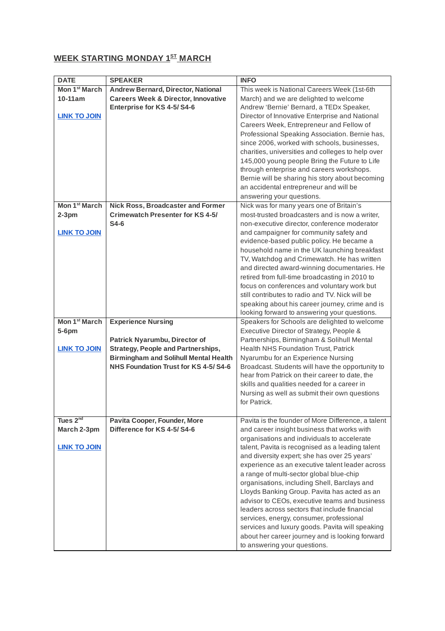## **WEEK STARTING MONDAY 1 ST MARCH**

| <b>DATE</b>                                                  | <b>SPEAKER</b>                                                                                | <b>INFO</b>                                                                                                                                                                                                                                                                                                                                                                                                                                                                                                                                     |
|--------------------------------------------------------------|-----------------------------------------------------------------------------------------------|-------------------------------------------------------------------------------------------------------------------------------------------------------------------------------------------------------------------------------------------------------------------------------------------------------------------------------------------------------------------------------------------------------------------------------------------------------------------------------------------------------------------------------------------------|
| Mon 1 <sup>st</sup> March                                    | <b>Andrew Bernard, Director, National</b>                                                     | This week is National Careers Week (1st-6th                                                                                                                                                                                                                                                                                                                                                                                                                                                                                                     |
| 10-11am<br><b>LINK TO JOIN</b>                               | <b>Careers Week &amp; Director, Innovative</b><br>Enterprise for KS 4-5/S4-6                  | March) and we are delighted to welcome<br>Andrew 'Bernie' Bernard, a TEDx Speaker,<br>Director of Innovative Enterprise and National<br>Careers Week, Entrepreneur and Fellow of<br>Professional Speaking Association. Bernie has,                                                                                                                                                                                                                                                                                                              |
|                                                              |                                                                                               | since 2006, worked with schools, businesses,<br>charities, universities and colleges to help over<br>145,000 young people Bring the Future to Life<br>through enterprise and careers workshops.<br>Bernie will be sharing his story about becoming                                                                                                                                                                                                                                                                                              |
|                                                              |                                                                                               | an accidental entrepreneur and will be<br>answering your questions.                                                                                                                                                                                                                                                                                                                                                                                                                                                                             |
| Mon 1 <sup>st</sup> March<br>$2-3$ pm<br><b>LINK TO JOIN</b> | <b>Nick Ross, Broadcaster and Former</b><br><b>Crimewatch Presenter for KS 4-5/</b><br>$S4-6$ | Nick was for many years one of Britain's<br>most-trusted broadcasters and is now a writer,<br>non-executive director, conference moderator<br>and campaigner for community safety and<br>evidence-based public policy. He became a                                                                                                                                                                                                                                                                                                              |
|                                                              |                                                                                               | household name in the UK launching breakfast<br>TV, Watchdog and Crimewatch. He has written<br>and directed award-winning documentaries. He<br>retired from full-time broadcasting in 2010 to<br>focus on conferences and voluntary work but<br>still contributes to radio and TV. Nick will be<br>speaking about his career journey, crime and is<br>looking forward to answering your questions.                                                                                                                                              |
| Mon 1 <sup>st</sup> March                                    | <b>Experience Nursing</b>                                                                     | Speakers for Schools are delighted to welcome                                                                                                                                                                                                                                                                                                                                                                                                                                                                                                   |
| 5-6pm                                                        |                                                                                               | Executive Director of Strategy, People &                                                                                                                                                                                                                                                                                                                                                                                                                                                                                                        |
|                                                              | Patrick Nyarumbu, Director of                                                                 | Partnerships, Birmingham & Solihull Mental                                                                                                                                                                                                                                                                                                                                                                                                                                                                                                      |
| <b>LINK TO JOIN</b>                                          | <b>Strategy, People and Partnerships,</b><br><b>Birmingham and Solihull Mental Health</b>     | <b>Health NHS Foundation Trust, Patrick</b><br>Nyarumbu for an Experience Nursing                                                                                                                                                                                                                                                                                                                                                                                                                                                               |
|                                                              | NHS Foundation Trust for KS 4-5/S4-6                                                          | Broadcast. Students will have the opportunity to<br>hear from Patrick on their career to date, the<br>skills and qualities needed for a career in<br>Nursing as well as submit their own questions<br>for Patrick.                                                                                                                                                                                                                                                                                                                              |
| Tues 2 <sup>nd</sup>                                         | Pavita Cooper, Founder, More                                                                  | Pavita is the founder of More Difference, a talent                                                                                                                                                                                                                                                                                                                                                                                                                                                                                              |
| March 2-3pm                                                  | Difference for KS 4-5/S4-6                                                                    | and career insight business that works with                                                                                                                                                                                                                                                                                                                                                                                                                                                                                                     |
| <b>LINK TO JOIN</b>                                          |                                                                                               | organisations and individuals to accelerate<br>talent, Pavita is recognised as a leading talent<br>and diversity expert; she has over 25 years'<br>experience as an executive talent leader across<br>a range of multi-sector global blue-chip<br>organisations, including Shell, Barclays and<br>Lloyds Banking Group. Pavita has acted as an<br>advisor to CEOs, executive teams and business<br>leaders across sectors that include financial<br>services, energy, consumer, professional<br>services and luxury goods. Pavita will speaking |
|                                                              |                                                                                               | about her career journey and is looking forward<br>to answering your questions.                                                                                                                                                                                                                                                                                                                                                                                                                                                                 |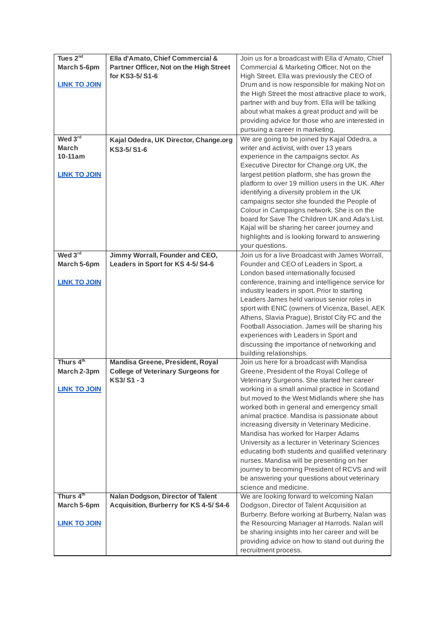| Tues 2 <sup>nd</sup>  | Ella d'Amato, Chief Commercial &          | Join us for a broadcast with Ella d'Amato, Chief   |
|-----------------------|-------------------------------------------|----------------------------------------------------|
| March 5-6pm           | Partner Officer, Not on the High Street   | Commercial & Marketing Officer, Not on the         |
|                       | for KS3-5/S1-6                            | High Street. Ella was previously the CEO of        |
| <b>LINK TO JOIN</b>   |                                           | Drum and is now responsible for making Not on      |
|                       |                                           | the High Street the most attractive place to work, |
|                       |                                           | partner with and buy from. Ella will be talking    |
|                       |                                           | about what makes a great product and will be       |
|                       |                                           | providing advice for those who are interested in   |
|                       |                                           | pursuing a career in marketing.                    |
| Wed 3rd               | Kajal Odedra, UK Director, Change.org     | We are going to be joined by Kajal Odedra, a       |
| <b>March</b>          | KS3-5/S1-6                                | writer and activist, with over 13 years            |
| 10-11am               |                                           | experience in the campaigns sector. As             |
|                       |                                           | Executive Director for Change.org UK, the          |
| <b>LINK TO JOIN</b>   |                                           | largest petition platform, she has grown the       |
|                       |                                           | platform to over 19 million users in the UK. After |
|                       |                                           | identifying a diversity problem in the UK          |
|                       |                                           | campaigns sector she founded the People of         |
|                       |                                           | Colour in Campaigns network. She is on the         |
|                       |                                           | board for Save The Children UK and Ada's List.     |
|                       |                                           | Kajal will be sharing her career journey and       |
|                       |                                           | highlights and is looking forward to answering     |
|                       |                                           | your questions.                                    |
| Wed 3rd               | Jimmy Worrall, Founder and CEO,           | Join us for a live Broadcast with James Worrall,   |
| March 5-6pm           | Leaders in Sport for KS 4-5/S4-6          | Founder and CEO of Leaders in Sport, a             |
|                       |                                           | London based internationally focused               |
| <b>LINK TO JOIN</b>   |                                           | conference, training and intelligence service for  |
|                       |                                           | industry leaders in sport. Prior to starting       |
|                       |                                           | Leaders James held various senior roles in         |
|                       |                                           | sport with ENIC (owners of Vicenza, Basel, AEK     |
|                       |                                           | Athens, Slavia Prague), Bristol City FC and the    |
|                       |                                           | Football Association. James will be sharing his    |
|                       |                                           | experiences with Leaders in Sport and              |
|                       |                                           | discussing the importance of networking and        |
|                       |                                           | building relationships.                            |
| Thurs 4 <sup>th</sup> | Mandisa Greene, President, Royal          | Join us here for a broadcast with Mandisa          |
| March 2-3pm           | <b>College of Veterinary Surgeons for</b> | Greene, President of the Royal College of          |
|                       | KS3/S1-3                                  | Veterinary Surgeons. She started her career        |
| <b>LINK TO JOIN</b>   |                                           | working in a small animal practice in Scotland     |
|                       |                                           | but moved to the West Midlands where she has       |
|                       |                                           | worked both in general and emergency small         |
|                       |                                           | animal practice. Mandisa is passionate about       |
|                       |                                           | increasing diversity in Veterinary Medicine.       |
|                       |                                           | Mandisa has worked for Harper Adams                |
|                       |                                           | University as a lecturer in Veterinary Sciences    |
|                       |                                           | educating both students and qualified veterinary   |
|                       |                                           | nurses. Mandisa will be presenting on her          |
|                       |                                           | journey to becoming President of RCVS and will     |
|                       |                                           | be answering your questions about veterinary       |
|                       |                                           | science and medicine.                              |
| Thurs 4th             | Nalan Dodgson, Director of Talent         | We are looking forward to welcoming Nalan          |
| March 5-6pm           | Acquisition, Burberry for KS 4-5/S4-6     | Dodgson, Director of Talent Acquisition at         |
|                       |                                           | Burberry. Before working at Burberry, Nalan was    |
| <b>LINK TO JOIN</b>   |                                           | the Resourcing Manager at Harrods. Nalan will      |
|                       |                                           | be sharing insights into her career and will be    |
|                       |                                           | providing advice on how to stand out during the    |
|                       |                                           | recruitment process.                               |